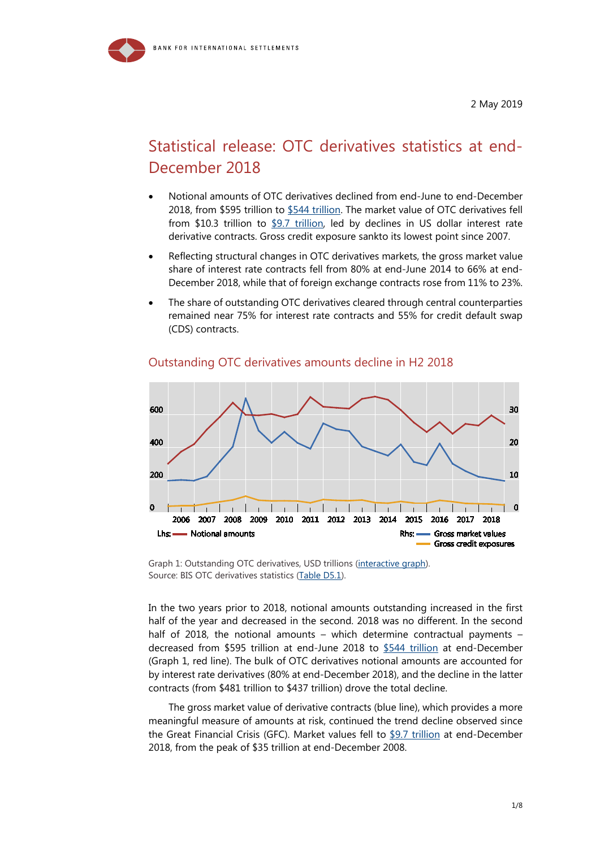# Statistical release: OTC derivatives statistics at end-December 2018

- Notional amounts of OTC derivatives declined from end-June to end-December 2018, from \$595 trillion to [\\$544 trillion.](https://stats.bis.org/statx/srs/tseries/OTC_DERIV/H.A.A.A.5J.A.5J.A.TO1.TO1.A.A.3.C?t=d5.1&c=&p=20182&i=1.4) The market value of OTC derivatives fell from \$10.3 trillion to [\\$9.7 trillion,](https://stats.bis.org/statx/srs/tseries/OTC_DERIV/H.D.A.A.5J.A.5J.A.TO1.TO1.A.A.3.C?t=d5.1&c=&p=20182&i=1.8&v=s:line) led by declines in US dollar interest rate derivative contracts. Gross credit exposure sankto its lowest point since 2007.
- Reflecting structural changes in OTC derivatives markets, the gross market value share of interest rate contracts fell from 80% at end-June 2014 to 66% at end-December 2018, while that of foreign exchange contracts rose from 11% to 23%.
- The share of outstanding OTC derivatives cleared through central counterparties remained near 75% for interest rate contracts and 55% for credit default swap (CDS) contracts.



### Outstanding OTC derivatives amounts decline in H2 2018

Graph 1: Outstanding OTC derivatives, USD trillions [\(interactive graph\)](https://stats.bis.org/statx/srs/tseries/OTC_DERIV/H:A:A:A:5J:A:5J:A:TO1:TO1:A:A:3:C?t=D5.1&p=20182&i=1.4&x=DER_TYPE.1.CL_OD_TYPE&o=s:line). Source: BIS OTC derivatives statistics [\(Table D5.1\)](https://stats.bis.org/statx/srs/table/d5.1).

In the two years prior to 2018, notional amounts outstanding increased in the first half of the year and decreased in the second. 2018 was no different. In the second half of 2018, the notional amounts – which determine contractual payments – decreased from \$595 trillion at end-June 2018 to [\\$544 trillion](https://stats.bis.org/statx/srs/table/d5.1) at end-December (Graph 1, red line). The bulk of OTC derivatives notional amounts are accounted for by interest rate derivatives (80% at end-December 2018), and the decline in the latter contracts (from \$481 trillion to \$437 trillion) drove the total decline.

The gross market value of derivative contracts (blue line), which provides a more meaningful measure of amounts at risk, continued the trend decline observed since the Great Financial Crisis (GFC). Market values fell to [\\$9.7 trillion](https://stats.bis.org/statx/srs/tseries/OTC_DERIV/H.D.A.A.5J.A.5J.A.TO1.TO1.A.A.3.C?t=d5.1&c=&p=20182&i=1.8&v=s:line) at end-December 2018, from the peak of \$35 trillion at end-December 2008.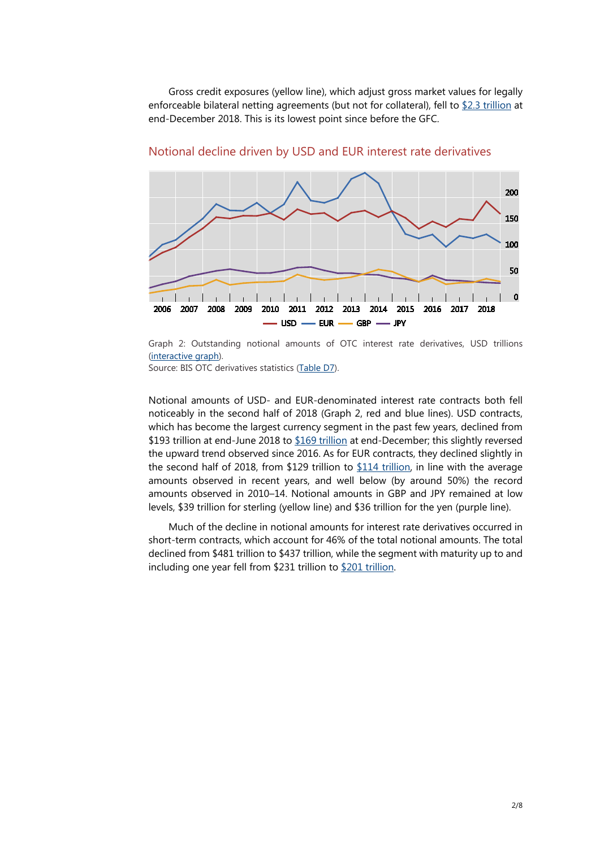Gross credit exposures (yellow line), which adjust gross market values for legally enforceable bilateral netting agreements (but not for collateral), fell to [\\$2.3 trillion](https://stats.bis.org/statx/srs/tseries/OTC_DERIV/H:D:A:A:5J:A:5J:A:TO1:TO1:A:A:3:C?t=D5.1&p=20182&i=1.8&x=DER_TYPE.1.CL_OD_TYPE&o=s:line) at end-December 2018. This is its lowest point since before the GFC.



Notional decline driven by USD and EUR interest rate derivatives

Graph 2: Outstanding notional amounts of OTC interest rate derivatives, USD trillions [\(interactive graph\)](https://stats.bis.org/statx/srs/tseries/OTC_DERIV/H:A:A:D:5J:A:5J:A:TO1:USD:A:A:3:C?t=D7&p=20182&i=2.2&x=DER_CURR_LEG2.9.CL_BIS_UNIT&o=s:line).

Source: BIS OTC derivatives statistics [\(Table D7\)](https://stats.bis.org/statx/srs/table/d7).

Notional amounts of USD- and EUR-denominated interest rate contracts both fell noticeably in the second half of 2018 (Graph 2, red and blue lines). USD contracts, which has become the largest currency segment in the past few years, declined from \$193 [trillion](https://stats.bis.org/statx/srs/tseries/OTC_DERIV/H.A.A.D.5J.A.5J.A.TO1.USD.A.A.3.C?t=d7&c=&p=20182&i=2.2&v=s:line) at end-June 2018 to \$169 trillion at end-December; this slightly reversed the upward trend observed since 2016. As for EUR contracts, they declined slightly in the second half of 2018, from \$129 trillion to \$114 [trillion,](https://stats.bis.org/statx/srs/tseries/OTC_DERIV/H.A.A.D.5J.A.5J.A.TO1.EUR.A.A.3.C?t=d7&c=&p=20182&i=2.3&v=s:line) in line with the average amounts observed in recent years, and well below (by around 50%) the record amounts observed in 2010–14. Notional amounts in GBP and JPY remained at low levels, \$39 trillion for sterling (yellow line) and \$36 trillion for the yen (purple line).

Much of the decline in notional amounts for interest rate derivatives occurred in short-term contracts, which account for 46% of the total notional amounts. The total declined from \$481 trillion to \$437 trillion, while the segment with maturity up to and including one year fell from \$231 trillion to \$201 [trillion.](https://stats.bis.org/statx/srs/tseries/OTC_DERIV/H.A.A.D.5J.A.5J.A.TO1.TO1.U.A.3.C?t=d5.1&c=&p=20182&i=38.4)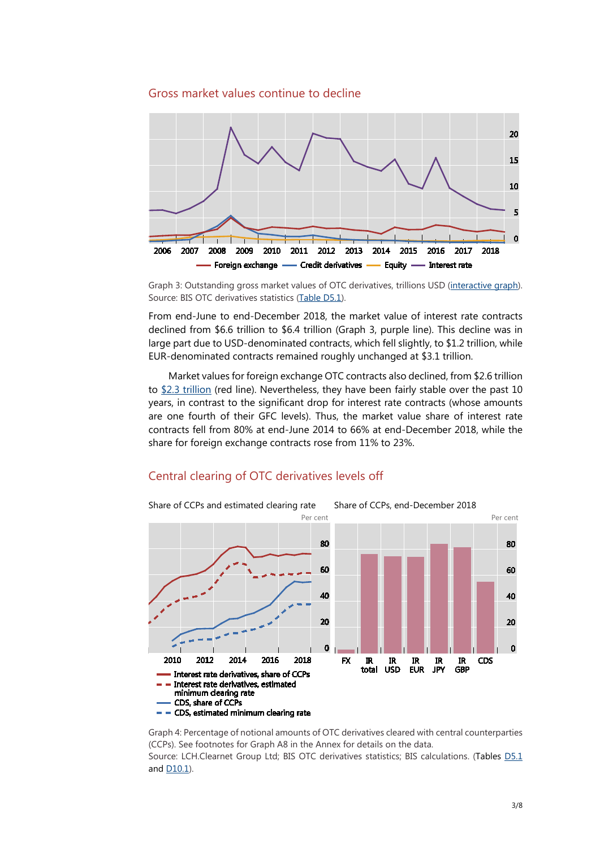### Gross market values continue to decline



Graph 3: Outstanding gross market values of OTC derivatives, trillions USD [\(interactive graph\)](https://stats.bis.org/statx/srs/tseries/OTC_DERIV/H:D:A:B:5J:A:5J:A:TO1:TO1:A:A:3:C?t=D5.1&p=20182&i=2.8&x=DER_RISK.3.CL_MARKET_RISK&o=s:line). Source: BIS OTC derivatives statistics [\(Table D5.1\)](https://stats.bis.org/statx/srs/table/D5.1?c=&m=&p=20182&o=s:line.nn,t:Derivatives%20risk%20category,w:20052.20182).

From end-June to end-December 2018, the market value of interest rate contracts declined from \$6.6 trillion to \$6.4 trillion (Graph 3, purple line). This decline was in large part due to USD-denominated contracts, which fell slightly, to \$1.2 trillion, while EUR-denominated contracts remained roughly unchanged at \$3.1 trillion.

Market values for foreign exchange OTC contracts also declined, from \$2.6 trillion to  $$2.3$  trillion (red line). Nevertheless, they have been fairly stable over the past 10 years, in contrast to the significant drop for interest rate contracts (whose amounts are one fourth of their GFC levels). Thus, the market value share of interest rate contracts fell from 80% at end-June 2014 to 66% at end-December 2018, while the share for foreign exchange contracts rose from 11% to 23%.

### Central clearing of OTC derivatives levels off



Graph 4: Percentage of notional amounts of OTC derivatives cleared with central counterparties (CCPs). See footnotes for Graph A8 in the Annex for details on the data. Source: LCH.Clearnet Group Ltd; BIS OTC derivatives statistics; BIS calculations. (Tables [D5.1](https://stats.bis.org/statx/srs/table/d5.1) and [D10.1\)](https://stats.bis.org/statx/srs/table/d10.1).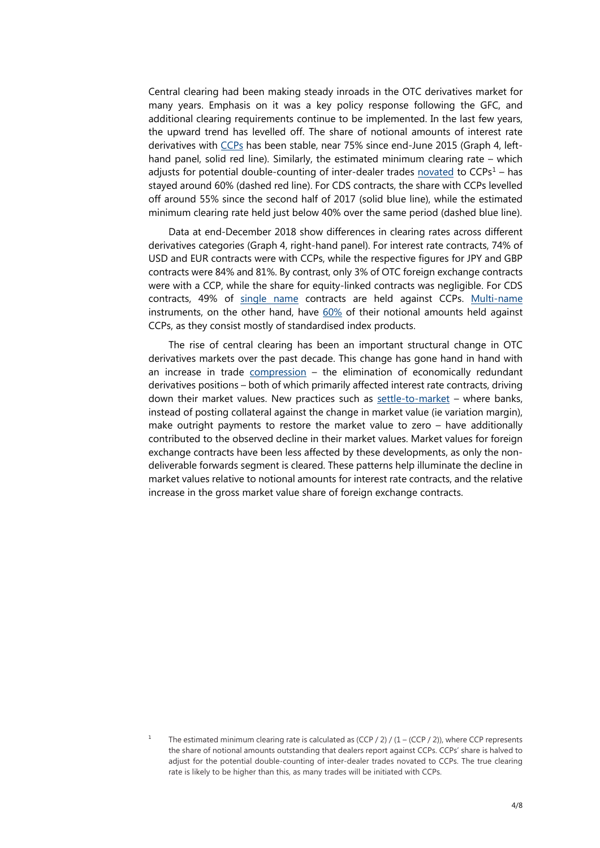Central clearing had been making steady inroads in the OTC derivatives market for many years. Emphasis on it was a key policy response following the GFC, and additional clearing requirements continue to be implemented. In the last few years, the upward trend has levelled off. The share of notional amounts of interest rate derivatives with [CCPs](https://www.bis.org/statistics/glossary.htm?&selection=229&scope=Statistics&c=a&base=term) has been stable, near 75% since end-June 2015 (Graph 4, lefthand panel, solid red line). Similarly, the estimated minimum clearing rate – which adjusts for potential double-counting of inter-dealer trades [novated](https://www.bis.org/statistics/glossary.htm?&selection=274&scope=Statistics&c=a&base=term) to  $CCPs<sup>1</sup> - has$  $CCPs<sup>1</sup> - has$  $CCPs<sup>1</sup> - has$ stayed around 60% (dashed red line). For CDS contracts, the share with CCPs levelled off around 55% since the second half of 2017 (solid blue line), while the estimated minimum clearing rate held just below 40% over the same period (dashed blue line).

Data at end-December 2018 show differences in clearing rates across different derivatives categories (Graph 4, right-hand panel). For interest rate contracts, 74% of USD and EUR contracts were with CCPs, while the respective figures for JPY and GBP contracts were 84% and 81%. By contrast, only 3% of OTC foreign exchange contracts were with a CCP, while the share for equity-linked contracts was negligible. For CDS contracts, 49% of [single name](https://www.bis.org/statistics/glossary.htm?&selection=255&scope=Statistics&c=a&base=term) contracts are held against CCPs. [Multi-name](https://www.bis.org/statistics/glossary.htm?&selection=289&scope=Statistics&c=a&base=term) instruments, on the other hand, have [60%](https://stats.bis.org/statx/srs/table/d10.1) of their notional amounts held against CCPs, as they consist mostly of standardised index products.

The rise of central clearing has been an important structural change in OTC derivatives markets over the past decade. This change has gone hand in hand with an increase in trade [compression](https://www.bis.org/statistics/glossary.htm?&selection=369&scope=Statistics&c=a&base=term) – the elimination of economically redundant derivatives positions – both of which primarily affected interest rate contracts, driving down their market values. New practices such as [settle-to-market](https://www.bis.org/press/p180920a.htm) – where banks, instead of posting collateral against the change in market value (ie variation margin), make outright payments to restore the market value to zero – have additionally contributed to the observed decline in their market values. Market values for foreign exchange contracts have been less affected by these developments, as only the nondeliverable forwards segment is cleared. These patterns help illuminate the decline in market values relative to notional amounts for interest rate contracts, and the relative increase in the gross market value share of foreign exchange contracts.

<span id="page-3-0"></span>The estimated minimum clearing rate is calculated as  $(CCP / 2) / (1 - (CCP / 2))$ , where CCP represents the share of notional amounts outstanding that dealers report against CCPs. CCPs' share is halved to adjust for the potential double-counting of inter-dealer trades novated to CCPs. The true clearing rate is likely to be higher than this, as many trades will be initiated with CCPs.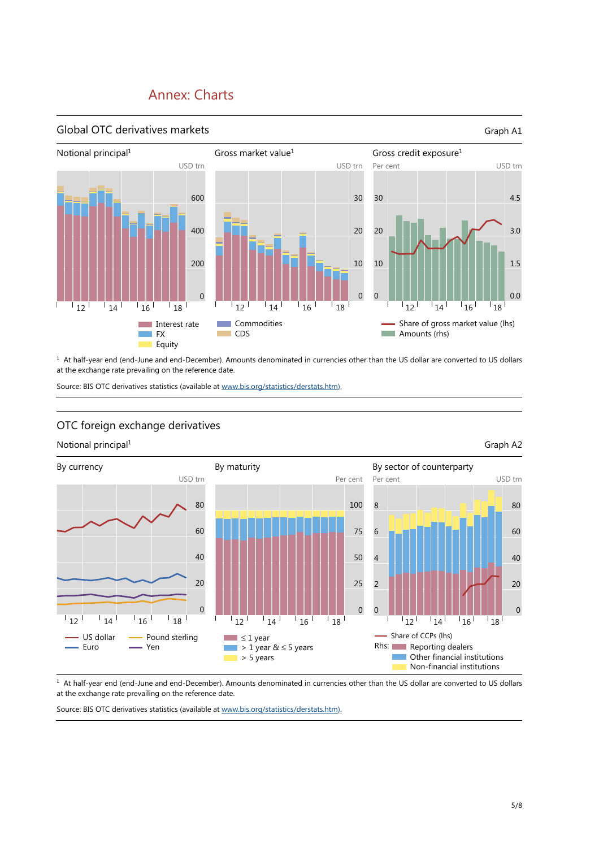## Annex: Charts



<sup>1</sup> At half-year end (end-June and end-December). Amounts denominated in currencies other than the US dollar are converted to US dollars at the exchange rate prevailing on the reference date.

Source: BIS OTC derivatives statistics (available a[t www.bis.org/statistics/derstats.htm\).](https://www.bis.org/statistics/derstats.htm)

### OTC foreign exchange derivatives

Notional principal<sup>1</sup> Graph A2



<sup>1</sup> At half-year end (end-June and end-December). Amounts denominated in currencies other than the US dollar are converted to US dollars at the exchange rate prevailing on the reference date.

Source: BIS OTC derivatives statistics (available a[t www.bis.org/statistics/derstats.htm\).](https://www.bis.org/statistics/derstats.htm)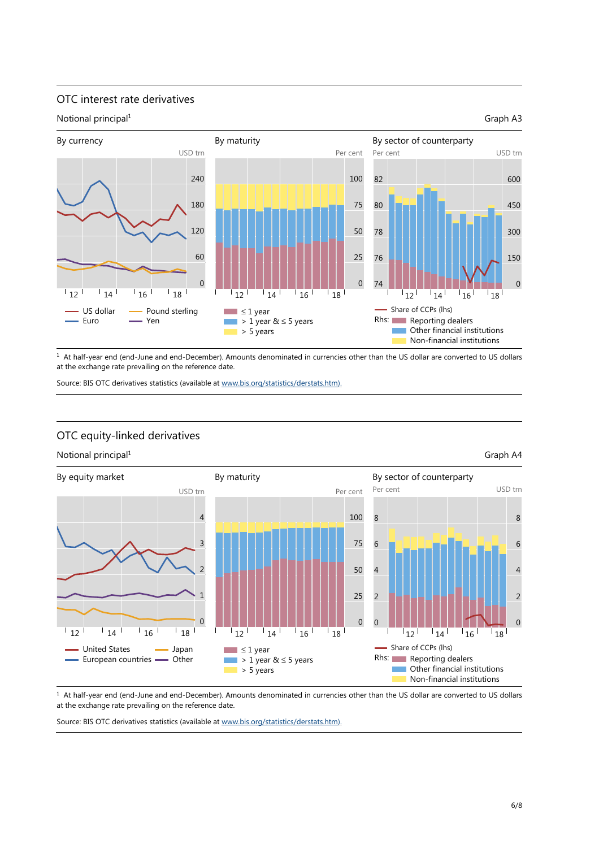### OTC interest rate derivatives



 $1$  At half-year end (end-June and end-December). Amounts denominated in currencies other than the US dollar are converted to US dollars at the exchange rate prevailing on the reference date.

Source: BIS OTC derivatives statistics (available a[t www.bis.org/statistics/derstats.htm\).](https://www.bis.org/statistics/derstats.htm)





<sup>1</sup> At half-year end (end-June and end-December). Amounts denominated in currencies other than the US dollar are converted to US dollars at the exchange rate prevailing on the reference date.

Source: BIS OTC derivatives statistics (available a[t www.bis.org/statistics/derstats.htm\).](https://www.bis.org/statistics/derstats.htm)

### OTC equity-linked derivatives

### Notional principal<sup>1</sup> Graph A4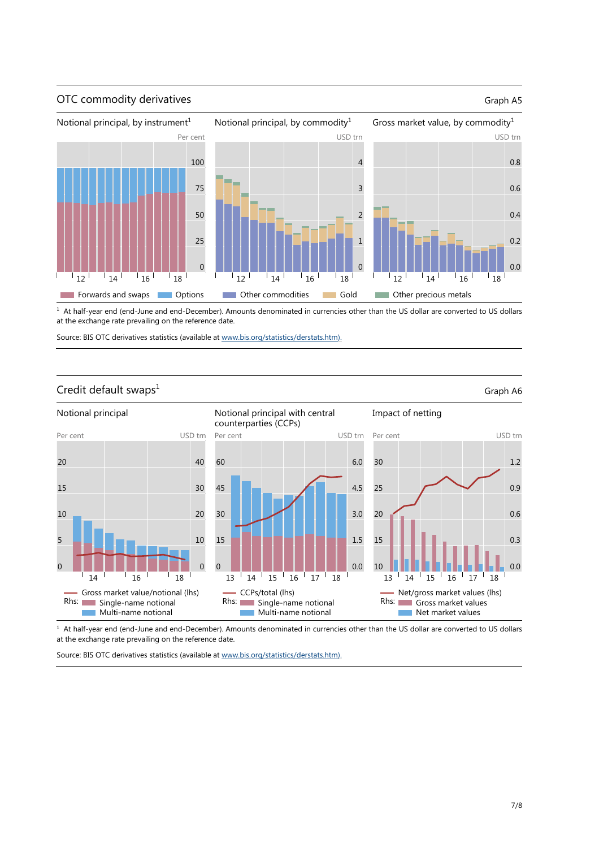

<sup>1</sup> At half-year end (end-June and end-December). Amounts denominated in currencies other than the US dollar are converted to US dollars at the exchange rate prevailing on the reference date.

Source: BIS OTC derivatives statistics (available a[t www.bis.org/statistics/derstats.htm\).](https://www.bis.org/statistics/derstats.htm)



<sup>1</sup> At half-year end (end-June and end-December). Amounts denominated in currencies other than the US dollar are converted to US dollars Rhs: Single-name notional Multi-name notional Rhs: Single-name notional Multi-name notional Rhs: Gross market values Net market values

CCPs/total (lhs)

at the exchange rate prevailing on the reference date.

Gross market value/notional (lhs)

Source: BIS OTC derivatives statistics (available a[t www.bis.org/statistics/derstats.htm\).](https://www.bis.org/statistics/derstats.htm)

1.2

0.9

0.6

0.3

0.0

Net/gross market values (lhs)